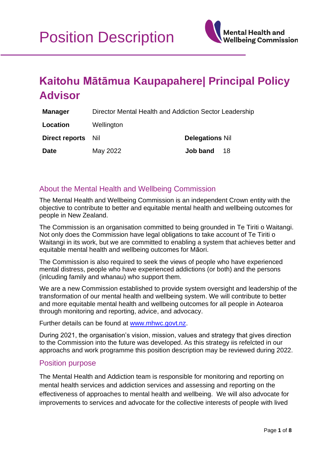

# **Kaitohu Mātāmua Kaupapahere| Principal Policy Advisor**

| <b>Manager</b>     | Director Mental Health and Addiction Sector Leadership |                        |
|--------------------|--------------------------------------------------------|------------------------|
| Location           | Wellington                                             |                        |
| Direct reports Nil |                                                        | <b>Delegations Nil</b> |
| <b>Date</b>        | May 2022                                               | Job band<br>18         |

## About the Mental Health and Wellbeing Commission

The Mental Health and Wellbeing Commission is an independent Crown entity with the objective to contribute to better and equitable mental health and wellbeing outcomes for people in New Zealand.

The Commission is an organisation committed to being grounded in Te Tiriti o Waitangi. Not only does the Commission have legal obligations to take account of Te Tiriti o Waitangi in its work, but we are committed to enabling a system that achieves better and equitable mental health and wellbeing outcomes for Māori.

The Commission is also required to seek the views of people who have experienced mental distress, people who have experienced addictions (or both) and the persons (inlcuding family and whanau) who support them.

We are a new Commission established to provide system oversight and leadership of the transformation of our mental health and wellbeing system. We will contribute to better and more equitable mental health and wellbeing outcomes for all people in Aotearoa through monitoring and reporting, advice, and advocacy.

Further details can be found at [www.mhwc.govt.nz.](file:///C:/Users/KateWilliams/AppData/Local/Microsoft/Windows/INetCache/Content.Outlook/P207LLMQ/www.mhwc.govt.nz)

During 2021, the organisation's vision, mission, values and strategy that gives direction to the Commission into the future was developed. As this strategy iis refelcted in our approachs and work programme this position description may be reviewed during 2022.

## Position purpose

The Mental Health and Addiction team is responsible for monitoring and reporting on mental health services and addiction services and assessing and reporting on the effectiveness of approaches to mental health and wellbeing. We will also advocate for improvements to services and advocate for the collective interests of people with lived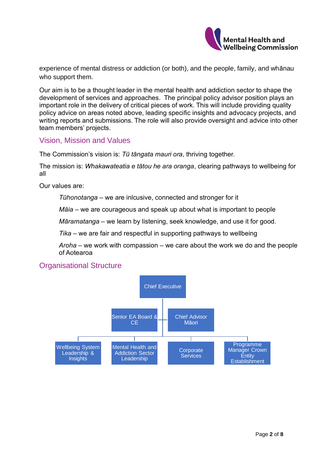

experience of mental distress or addiction (or both), and the people, family, and whānau who support them.

Our aim is to be a thought leader in the mental health and addiction sector to shape the development of services and approaches. The principal policy advisor position plays an important role in the delivery of critical pieces of work. This will include providing quality policy advice on areas noted above, leading specific insights and advocacy projects, and writing reports and submissions. The role will also provide oversight and advice into other team members' projects.

## Vision, Mission and Values

The Commission's vision is: *Tū tāngata mauri ora*, thriving together.

The mission is: *Whakawateatia e tātou he ara oranga*, clearing pathways to wellbeing for all

Our values are:

*Tūhonotanga* – we are inlcusive, connected and stronger for it

*Māia* – we are courageous and speak up about what is important to people

*Māramatanga* – we learn by listening, seek knowledge, and use it for good.

*Tika* – we are fair and respectful in supporting pathways to wellbeing

*Aroha* – we work with compassion – we care about the work we do and the people of Aotearoa



## Organisational Structure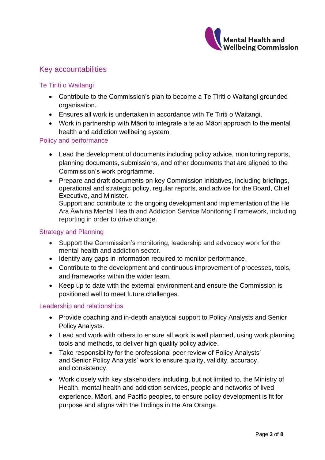

# Key accountabilities

## Te Tiriti o Waitangi

- Contribute to the Commission's plan to become a Te Tiriti o Waitangi grounded organisation.
- Ensures all work is undertaken in accordance with Te Tiriti o Waitangi.
- Work in partnership with Māori to integrate a te ao Māori approach to the mental health and addiction wellbeing system.

## Policy and performance

- Lead the development of documents including policy advice, monitoring reports, planning documents, submissions, and other documents that are aligned to the Commission's work progrtamme.
- Prepare and draft documents on key Commission initiatives, including briefings, operational and strategic policy, regular reports, and advice for the Board, Chief Executive, and Minister.

Support and contribute to the ongoing development and implementation of the He Ara Āwhina Mental Health and Addiction Service Monitoring Framework, including reporting in order to drive change.

#### Strategy and Planning

- Support the Commission's monitoring, leadership and advocacy work for the mental health and addiction sector.
- Identify any gaps in information required to monitor performance.
- Contribute to the development and continuous improvement of processes, tools, and frameworks within the wider team.
- Keep up to date with the external environment and ensure the Commission is positioned well to meet future challenges.

#### Leadership and relationships

- Provide coaching and in-depth analytical support to Policy Analysts and Senior Policy Analysts.
- Lead and work with others to ensure all work is well planned, using work planning tools and methods, to deliver high quality policy advice.
- Take responsibility for the professional peer review of Policy Analysts' and Senior Policy Analysts' work to ensure quality, validity, accuracy, and consistency.
- Work closely with key stakeholders including, but not limited to, the Ministry of Health, mental health and addiction services, people and networks of lived experience, Māori, and Pacific peoples, to ensure policy development is fit for purpose and aligns with the findings in He Ara Oranga.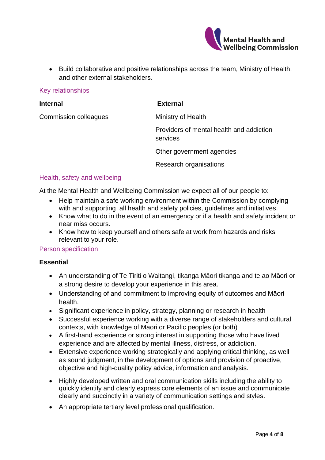

• Build collaborative and positive relationships across the team, Ministry of Health, and other external stakeholders.

#### Key relationships

| <b>Internal</b>              | <b>External</b>                                      |
|------------------------------|------------------------------------------------------|
| <b>Commission colleagues</b> | Ministry of Health                                   |
|                              | Providers of mental health and addiction<br>services |
|                              | Other government agencies                            |
|                              | Research organisations                               |
|                              |                                                      |

#### Health, safety and wellbeing

At the Mental Health and Wellbeing Commission we expect all of our people to:

- Help maintain a safe working environment within the Commission by complying with and supporting all health and safety policies, guidelines and initiatives.
- Know what to do in the event of an emergency or if a health and safety incident or near miss occurs.
- Know how to keep yourself and others safe at work from hazards and risks relevant to your role.

#### Person specification

#### **Essential**

- An understanding of Te Tiriti o Waitangi, tikanga Māori tikanga and te ao Māori or a strong desire to develop your experience in this area.
- Understanding of and commitment to improving equity of outcomes and Māori health.
- Significant experience in policy, strategy, planning or research in health
- Successful experience working with a diverse range of stakeholders and cultural contexts, with knowledge of Maori or Pacific peoples (or both)
- A first-hand experience or strong interest in supporting those who have lived experience and are affected by mental illness, distress, or addiction.
- Extensive experience working strategically and applying critical thinking, as well as sound judgment, in the development of options and provision of proactive, objective and high-quality policy advice, information and analysis.
- Highly developed written and oral communication skills including the ability to quickly identify and clearly express core elements of an issue and communicate clearly and succinctly in a variety of communication settings and styles.
- An appropriate tertiary level professional qualification.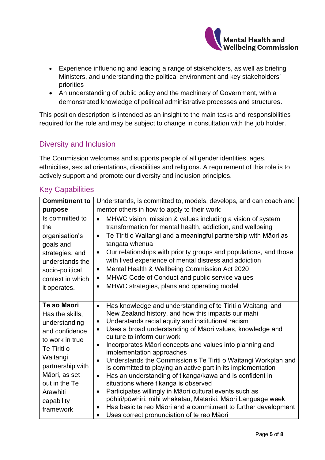

- Experience influencing and leading a range of stakeholders, as well as briefing Ministers, and understanding the political environment and key stakeholders' priorities
- An understanding of public policy and the machinery of Government, with a demonstrated knowledge of political administrative processes and structures.

This position description is intended as an insight to the main tasks and responsibilities required for the role and may be subject to change in consultation with the job holder.

# Diversity and Inclusion

The Commission welcomes and supports people of all gender identities, ages, ethnicities, sexual orientations, disabilities and religions. A requirement of this role is to actively support and promote our diversity and inclusion principles.

| <b>Commitment to</b>                                                                                                                                                                                         | Understands, is committed to, models, develops, and can coach and                                                                                                                                                                                                                                                                                                                                                                                                                                                                                                                                                                                                                                                                                                                                                                                                                                                                       |  |
|--------------------------------------------------------------------------------------------------------------------------------------------------------------------------------------------------------------|-----------------------------------------------------------------------------------------------------------------------------------------------------------------------------------------------------------------------------------------------------------------------------------------------------------------------------------------------------------------------------------------------------------------------------------------------------------------------------------------------------------------------------------------------------------------------------------------------------------------------------------------------------------------------------------------------------------------------------------------------------------------------------------------------------------------------------------------------------------------------------------------------------------------------------------------|--|
| purpose                                                                                                                                                                                                      | mentor others in how to apply to their work:                                                                                                                                                                                                                                                                                                                                                                                                                                                                                                                                                                                                                                                                                                                                                                                                                                                                                            |  |
| Is committed to<br>the<br>organisation's<br>goals and<br>strategies, and<br>understands the<br>socio-political<br>context in which<br>it operates.                                                           | MHWC vision, mission & values including a vision of system<br>transformation for mental health, addiction, and wellbeing<br>Te Tiriti o Waitangi and a meaningful partnership with Māori as<br>$\bullet$<br>tangata whenua<br>Our relationships with priority groups and populations, and those<br>$\bullet$<br>with lived experience of mental distress and addiction<br>Mental Health & Wellbeing Commission Act 2020<br>$\bullet$<br>MHWC Code of Conduct and public service values<br>$\bullet$<br>MHWC strategies, plans and operating model<br>$\bullet$                                                                                                                                                                                                                                                                                                                                                                          |  |
| Te ao Māori<br>Has the skills,<br>understanding<br>and confidence<br>to work in true<br>Te Tiriti o<br>Waitangi<br>partnership with<br>Māori, as set<br>out in the Te<br>Arawhiti<br>capability<br>framework | Has knowledge and understanding of te Tiriti o Waitangi and<br>$\bullet$<br>New Zealand history, and how this impacts our mahi<br>Understands racial equity and institutional racism<br>$\bullet$<br>Uses a broad understanding of Māori values, knowledge and<br>$\bullet$<br>culture to inform our work<br>Incorporates Māori concepts and values into planning and<br>$\bullet$<br>implementation approaches<br>Understands the Commission's Te Tiriti o Waitangi Workplan and<br>$\bullet$<br>is committed to playing an active part in its implementation<br>Has an understanding of tikanga/kawa and is confident in<br>$\bullet$<br>situations where tikanga is observed<br>Participates willingly in Māori cultural events such as<br>$\bullet$<br>pōhiri/pōwhiri, mihi whakatau, Matariki, Māori Language week<br>Has basic te reo Māori and a commitment to further development<br>Uses correct pronunciation of te reo Māori |  |

## Key Capabilities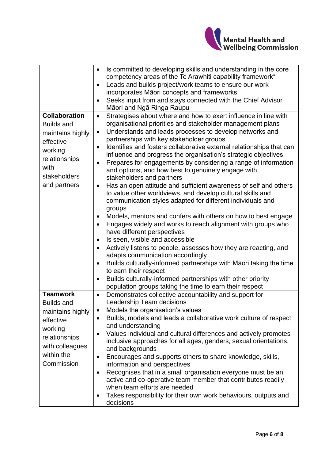

|                      | Is committed to developing skills and understanding in the core<br>$\bullet$      |
|----------------------|-----------------------------------------------------------------------------------|
|                      | competency areas of the Te Arawhiti capability framework*                         |
|                      | Leads and builds project/work teams to ensure our work                            |
|                      | incorporates Māori concepts and frameworks                                        |
|                      | Seeks input from and stays connected with the Chief Advisor                       |
|                      | Māori and Ngā Ringa Raupu                                                         |
| <b>Collaboration</b> | Strategises about where and how to exert influence in line with<br>$\bullet$      |
| <b>Builds and</b>    | organisational priorities and stakeholder management plans                        |
| maintains highly     | Understands and leads processes to develop networks and<br>$\bullet$              |
| effective            | partnerships with key stakeholder groups                                          |
| working              | Identifies and fosters collaborative external relationships that can<br>$\bullet$ |
| relationships        | influence and progress the organisation's strategic objectives                    |
|                      | Prepares for engagements by considering a range of information                    |
| with                 | and options, and how best to genuinely engage with                                |
| stakeholders         | stakeholders and partners                                                         |
| and partners         | Has an open attitude and sufficient awareness of self and others<br>$\bullet$     |
|                      | to value other worldviews, and develop cultural skills and                        |
|                      | communication styles adapted for different individuals and                        |
|                      | groups                                                                            |
|                      | Models, mentors and confers with others on how to best engage                     |
|                      | Engages widely and works to reach alignment with groups who<br>$\bullet$          |
|                      | have different perspectives                                                       |
|                      | Is seen, visible and accessible                                                   |
|                      | Actively listens to people, assesses how they are reacting, and                   |
|                      | adapts communication accordingly                                                  |
|                      | Builds culturally-informed partnerships with Māori taking the time<br>$\bullet$   |
|                      | to earn their respect                                                             |
|                      | Builds culturally-informed partnerships with other priority                       |
|                      | population groups taking the time to earn their respect                           |
| <b>Teamwork</b>      | Demonstrates collective accountability and support for<br>$\bullet$               |
| <b>Builds and</b>    | Leadership Team decisions                                                         |
| maintains highly     | Models the organisation's values                                                  |
| effective            | Builds, models and leads a collaborative work culture of respect<br>$\bullet$     |
| working              | and understanding                                                                 |
| relationships        | Values individual and cultural differences and actively promotes<br>$\bullet$     |
| with colleagues      | inclusive approaches for all ages, genders, sexual orientations,                  |
| within the           | and backgrounds                                                                   |
| Commission           | Encourages and supports others to share knowledge, skills,<br>$\bullet$           |
|                      | information and perspectives                                                      |
|                      | Recognises that in a small organisation everyone must be an<br>$\bullet$          |
|                      | active and co-operative team member that contributes readily                      |
|                      | when team efforts are needed                                                      |
|                      | Takes responsibility for their own work behaviours, outputs and<br>decisions      |
|                      |                                                                                   |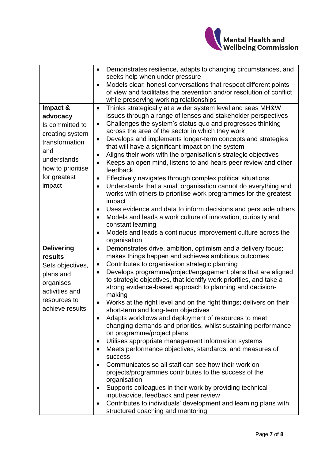

|                             | Demonstrates resilience, adapts to changing circumstances, and<br>$\bullet$                                                 |
|-----------------------------|-----------------------------------------------------------------------------------------------------------------------------|
|                             | seeks help when under pressure                                                                                              |
|                             | Models clear, honest conversations that respect different points                                                            |
|                             | of view and facilitates the prevention and/or resolution of conflict                                                        |
|                             | while preserving working relationships                                                                                      |
| Impact &                    | Thinks strategically at a wider system level and sees MH&W<br>$\bullet$                                                     |
| advocacy                    | issues through a range of lenses and stakeholder perspectives<br>Challenges the system's status quo and progresses thinking |
| Is committed to             | $\bullet$<br>across the area of the sector in which they work                                                               |
| creating system             | Develops and implements longer-term concepts and strategies<br>$\bullet$                                                    |
| transformation              | that will have a significant impact on the system                                                                           |
| and                         | Aligns their work with the organisation's strategic objectives<br>$\bullet$                                                 |
| understands                 | Keeps an open mind, listens to and hears peer review and other                                                              |
| how to prioritise           | feedback                                                                                                                    |
| for greatest                | Effectively navigates through complex political situations<br>$\bullet$                                                     |
| impact                      | Understands that a small organisation cannot do everything and<br>$\bullet$                                                 |
|                             | works with others to prioritise work programmes for the greatest                                                            |
|                             | impact                                                                                                                      |
|                             | Uses evidence and data to inform decisions and persuade others                                                              |
|                             | Models and leads a work culture of innovation, curiosity and<br>$\bullet$                                                   |
|                             | constant learning                                                                                                           |
|                             | Models and leads a continuous improvement culture across the                                                                |
|                             | organisation                                                                                                                |
|                             |                                                                                                                             |
| <b>Delivering</b>           | Demonstrates drive, ambition, optimism and a delivery focus;<br>$\bullet$                                                   |
| results                     | makes things happen and achieves ambitious outcomes                                                                         |
| Sets objectives,            | Contributes to organisation strategic planning<br>$\bullet$                                                                 |
| plans and                   | Develops programme/project/engagement plans that are aligned<br>$\bullet$                                                   |
|                             | to strategic objectives, that identify work priorities, and take a                                                          |
| organises<br>activities and | strong evidence-based approach to planning and decision-                                                                    |
|                             | making                                                                                                                      |
| resources to                | Works at the right level and on the right things; delivers on their<br>$\bullet$                                            |
| achieve results             | short-term and long-term objectives                                                                                         |
|                             | Adapts workflows and deployment of resources to meet<br>$\bullet$                                                           |
|                             | changing demands and priorities, whilst sustaining performance                                                              |
|                             | on programme/project plans                                                                                                  |
|                             | Utilises appropriate management information systems                                                                         |
|                             | Meets performance objectives, standards, and measures of<br>success                                                         |
|                             | Communicates so all staff can see how their work on                                                                         |
|                             | projects/programmes contributes to the success of the                                                                       |
|                             | organisation                                                                                                                |
|                             | Supports colleagues in their work by providing technical                                                                    |
|                             | input/advice, feedback and peer review                                                                                      |
|                             | Contributes to individuals' development and learning plans with<br>$\bullet$                                                |